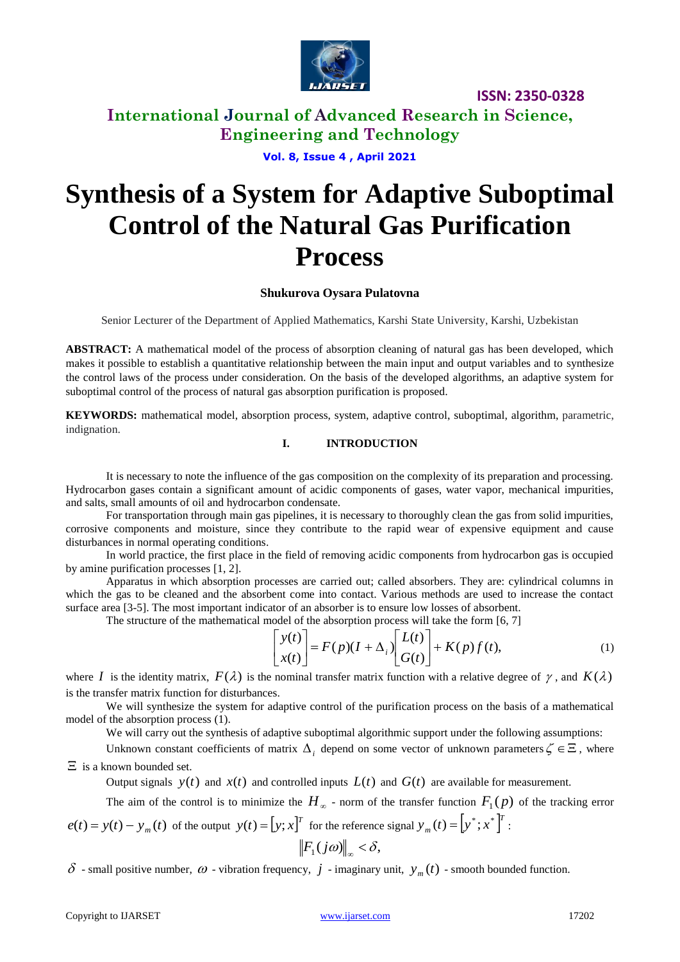

**International Journal of Advanced Research in Science, Engineering and Technology**

**Vol. 8, Issue 4 , April 2021**

# **Synthesis of a System for Adaptive Suboptimal Control of the Natural Gas Purification Process**

#### **Shukurova Oysara Pulatovna**

Senior Lecturer of the Department of Applied Mathematics, Karshi State University, Karshi, Uzbekistan

**ABSTRACT:** A mathematical model of the process of absorption cleaning of natural gas has been developed, which makes it possible to establish a quantitative relationship between the main input and output variables and to synthesize the control laws of the process under consideration. On the basis of the developed algorithms, an adaptive system for suboptimal control of the process of natural gas absorption purification is proposed.

**KEYWORDS:** mathematical model, absorption process, system, adaptive control, suboptimal, algorithm, parametric, indignation.

#### **I. INTRODUCTION**

It is necessary to note the influence of the gas composition on the complexity of its preparation and processing. Hydrocarbon gases contain a significant amount of acidic components of gases, water vapor, mechanical impurities, and salts, small amounts of oil and hydrocarbon condensate.

For transportation through main gas pipelines, it is necessary to thoroughly clean the gas from solid impurities, corrosive components and moisture, since they contribute to the rapid wear of expensive equipment and cause disturbances in normal operating conditions.

In world practice, the first place in the field of removing acidic components from hydrocarbon gas is occupied by amine purification processes [1, 2].

Apparatus in which absorption processes are carried out; called absorbers. They are: cylindrical columns in which the gas to be cleaned and the absorbent come into contact. Various methods are used to increase the contact surface area [3-5]. The most important indicator of an absorber is to ensure low losses of absorbent.

The structure of the mathematical model of the absorption process will take the form [6, 7]

$$
\begin{bmatrix} y(t) \\ x(t) \end{bmatrix} = F(p)(I + \Delta_i) \begin{bmatrix} L(t) \\ G(t) \end{bmatrix} + K(p)f(t), \tag{1}
$$

where I is the identity matrix,  $F(\lambda)$  is the nominal transfer matrix function with a relative degree of  $\gamma$ , and  $K(\lambda)$ is the transfer matrix function for disturbances.

We will synthesize the system for adaptive control of the purification process on the basis of a mathematical model of the absorption process (1).

We will carry out the synthesis of adaptive suboptimal algorithmic support under the following assumptions:

Unknown constant coefficients of matrix  $\Delta_i$  depend on some vector of unknown parameters  $\zeta \in \Xi$ , where  $\Xi$  is a known bounded set.

Output signals  $y(t)$  and  $x(t)$  and controlled inputs  $L(t)$  and  $G(t)$  are available for measurement.

The aim of the control is to minimize the  $H_{\infty}$  - norm of the transfer function  $F_1(p)$  of the tracking error *e*(*t*) *y*(*t*) *y* (*t*) *<sup>m</sup> T*  $y_m(t) = [y^*; x^*]^T$ :

$$
e(t) = y(t) - y_m(t)
$$
 of the output  $y(t) = [y; x]^T$  for the reference signal  $y_m(t) = [y^*; x^*]$   

$$
\left\| F_1(j\omega) \right\|_{\infty} < \delta,
$$

 $\delta$  - small positive number,  $\omega$  - vibration frequency,  $j$  - imaginary unit,  $y_m(t)$  - smooth bounded function.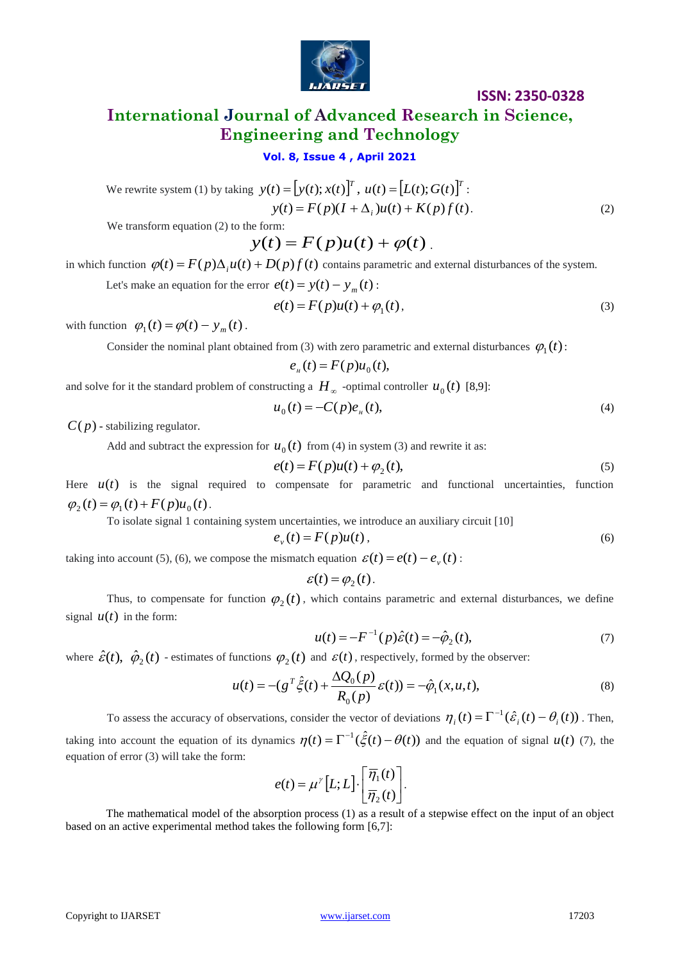

# **International Journal of Advanced Research in Science, Engineering and Technology**

#### **Vol. 8, Issue 4 , April 2021**

We rewrite system (1) by taking 
$$
y(t) = [y(t); x(t)]^T
$$
,  $u(t) = [L(t); G(t)]^T$ :  
\n
$$
y(t) = F(p)(I + \Delta_i)u(t) + K(p)f(t).
$$
\n(2)

We transform equation (2) to the form:

 $y(t) = F(p)u(t) + \varphi(t)$ .

in which function  $\varphi(t) = F(p)\Delta_i u(t) + D(p)f(t)$  contains parametric and external disturbances of the system.

Let's make an equation for the error  $e(t) = y(t) - y_m(t)$ :

$$
e(t) = F(p)u(t) + \varphi_1(t),\tag{3}
$$

with function  $\varphi_1(t) = \varphi(t) - y_m(t)$ .

Consider the nominal plant obtained from (3) with zero parametric and external disturbances  $\varphi_1(t)$ :

$$
e_{\scriptscriptstyle H}(t) = F(p)u_0(t),
$$

and solve for it the standard problem of constructing a  $H_{\infty}$  -optimal controller  $u_0(t)$  [8,9]:

$$
u_0(t) = -C(p)e_{tt}(t),
$$
\n(4)

*C*( *p*) - stabilizing regulator.

Add and subtract the expression for  $u_0(t)$  from (4) in system (3) and rewrite it as:

$$
e(t) = F(p)u(t) + \varphi_2(t),
$$
\n<sup>(5)</sup>

Here  $u(t)$  is the signal required to compensate for parametric and functional uncertainties, function  $\varphi_2(t) = \varphi_1(t) + F(p)u_0(t)$ .

To isolate signal 1 containing system uncertainties, we introduce an auxiliary circuit [10]

$$
e_{\nu}(t) = F(p)u(t),\tag{6}
$$

taking into account (5), (6), we compose the mismatch equation  $\varepsilon(t) = e(t) - e_v(t)$ :

$$
\varepsilon(t) = \varphi_2(t).
$$

Thus, to compensate for function  $\varphi_2(t)$ , which contains parametric and external disturbances, we define signal  $u(t)$  in the form:

$$
u(t) = -F^{-1}(p)\hat{\varepsilon}(t) = -\hat{\varphi}_2(t),
$$
\n(7)

where  $\hat{\mathcal{E}}(t)$ ,  $\hat{\varphi}_2(t)$  - estimates of functions  $\varphi_2(t)$  and  $\mathcal{E}(t)$ , respectively, formed by the observer:

$$
u(t) = -(g^T \hat{\xi}(t) + \frac{\Delta Q_0(p)}{R_0(p)} \varepsilon(t)) = -\hat{\varphi}_1(x, u, t),
$$
\n(8)

To assess the accuracy of observations, consider the vector of deviations  $\eta_i(t) = \Gamma^{-1}(\hat{\varepsilon}_i(t) - \theta_i(t))$ . Then,

taking into account the equation of its dynamics  $\eta(t) = \Gamma^{-1}(\hat{\xi}(t) - \theta(t))$  and the equation of signal  $u(t)$  (7), the equation of error (3) will take the form:

$$
e(t) = \mu^{\gamma} [L; L] \cdot \left[ \frac{\overline{\eta}_1(t)}{\overline{\eta}_2(t)} \right].
$$

The mathematical model of the absorption process (1) as a result of a stepwise effect on the input of an object based on an active experimental method takes the following form [6,7]: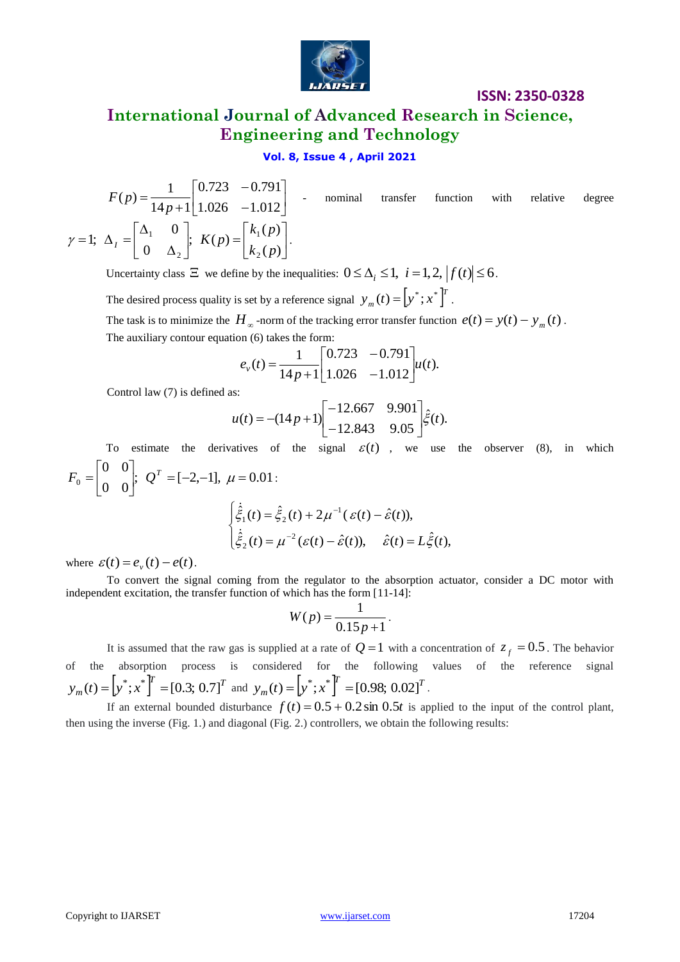

# **International Journal of Advanced Research in Science, Engineering and Technology**

## **Vol. 8, Issue 4 , April 2021**

$$
F(p) = \frac{1}{14p+1} \begin{bmatrix} 0.723 & -0.791 \\ 1.026 & -1.012 \end{bmatrix}
$$
nominal transfer function with relative degree  
 $\gamma = 1$ ;  $\Delta_I = \begin{bmatrix} \Delta_1 & 0 \\ 0 & \Delta_2 \end{bmatrix}$ ;  $K(p) = \begin{bmatrix} k_1(p) \\ k_2(p) \end{bmatrix}$ .

Uncertainty class  $\Xi$  we define by the inequalities:  $0 \leq \Delta_i \leq 1$ ,  $i = 1, 2$ ,  $|f(t)| \leq 6$ .

The desired process quality is set by a reference signal  $y_m(t) = [y^*; x^*]^T$  $y_m(t) = [y^*; x^*]'$ .

The task is to minimize the  $H_{\infty}$ -norm of the tracking error transfer function  $e(t) = y(t) - y_m(t)$ . The auxiliary contour equation (6) takes the form:

$$
e_v(t) = \frac{1}{14p+1} \begin{bmatrix} 0.723 & -0.791 \\ 1.026 & -1.012 \end{bmatrix} u(t).
$$

Control law (7) is defined as:

$$
u(t) = -(14p+1)\begin{bmatrix} -12.667 & 9.901 \\ -12.843 & 9.05 \end{bmatrix} \hat{\xi}(t).
$$

 $F(P) = \frac{1}{[4p+1]}\left[1.026 -1.012\right]$ <br>  $y = 1; \Delta_1 = \begin{bmatrix} 6 & 0 \\ 0 & \Delta_2 \end{bmatrix}$   $K(p) = \begin{bmatrix} k_1(p) \\ k_2(p) \end{bmatrix}$ <br>
Uncertainty show  $\Xi$  we define by the inequalities:  $0 \le \Delta_1 \le 1$ ,  $i = 1, 2, |f(t)| \le 6$ .<br>
The takents preserve qualit To estimate the derivatives of the signal  $\varepsilon(t)$ , we use the observer (8), in which ;  $Q^T = [-2,-1], \mu = 0.01$ 0 0 0 0  $Q_0 = \begin{vmatrix} 0 & 0 \\ 0 & 0 \end{vmatrix}; Q^T = [-2,-1], \mu =$  $\overline{\phantom{a}}$  $\overline{\phantom{a}}$  $\mathbf{r}$ L  $F_0 = \begin{bmatrix} 0 & 0 \\ 0 & 0 \end{bmatrix}; \ Q^T = [-2,-1], \ \mu = 0.01$  $\overline{\mathcal{L}}$  $\overline{\phantom{a}}$ ┤  $\left\lceil$  $=\mu^{-2}(\varepsilon(t)-\hat{\varepsilon}(t)),\quad \hat{\varepsilon}(t)=$  $=\hat{\xi}_{2}(t)+2\mu^{-1}(\varepsilon(t) \overline{a}$  $\overline{a}$  $\hat{\hat{\epsilon}}_z(t) = \mu^{-2} (\varepsilon(t) - \hat{\varepsilon}(t)), \quad \hat{\varepsilon}(t) = L \hat{\xi}(t),$  $(\dot{\hat{\xi}}_1(t)) = \hat{\xi}_2(t) + 2\mu^{-1}(\varepsilon(t) - \hat{\varepsilon}(t)),$ 2 2 1  $1$   $(1) - 52$  $\hat{\epsilon}(t) = \mu^{-2} (\varepsilon(t) - \hat{\varepsilon}(t)), \quad \hat{\varepsilon}(t) = L \xi(t)$  $g(t) = \hat{\xi}_2(t) + 2\mu^{-1}(\varepsilon(t) - \hat{\varepsilon}(t))$  $\xi_2(t) = \mu^{-2}(\varepsilon(t) - \hat{\varepsilon}(t)), \quad \hat{\varepsilon}(t) = L\xi$  $\xi_1(t) = \xi_2(t) + 2\mu^{-1}(\varepsilon(t) - \hat{\varepsilon})$ خ خ

where  $\varepsilon(t) = e_v(t) - e(t)$ .

To convert the signal coming from the regulator to the absorption actuator, consider a DC motor with independent excitation, the transfer function of which has the form [11-14]:

$$
W(p) = \frac{1}{0.15p + 1}.
$$

It is assumed that the raw gas is supplied at a rate of  $Q=1$  with a concentration of  $z_f = 0.5$ . The behavior of the absorption process is considered for the following values of the reference signal  $\left[ y^*; x^* \right]^T = \left[ 0.3; 0.7 \right]^T$  $y_m(t) = \left[ y^*; x^* \right]^T = \left[ 0.3; 0.7 \right]^T$  and  $y_m(t) = \left[ y^*; x^* \right]^T = \left[ 0.98; 0.02 \right]^T$  $y_m(t) = \left[ y^*; x^* \right]^T = \left[ 0.98; 0.02 \right]^T$ .

If an external bounded disturbance  $f(t) = 0.5 + 0.2 \sin 0.5t$  is applied to the input of the control plant, then using the inverse (Fig. 1.) and diagonal (Fig. 2.) controllers, we obtain the following results: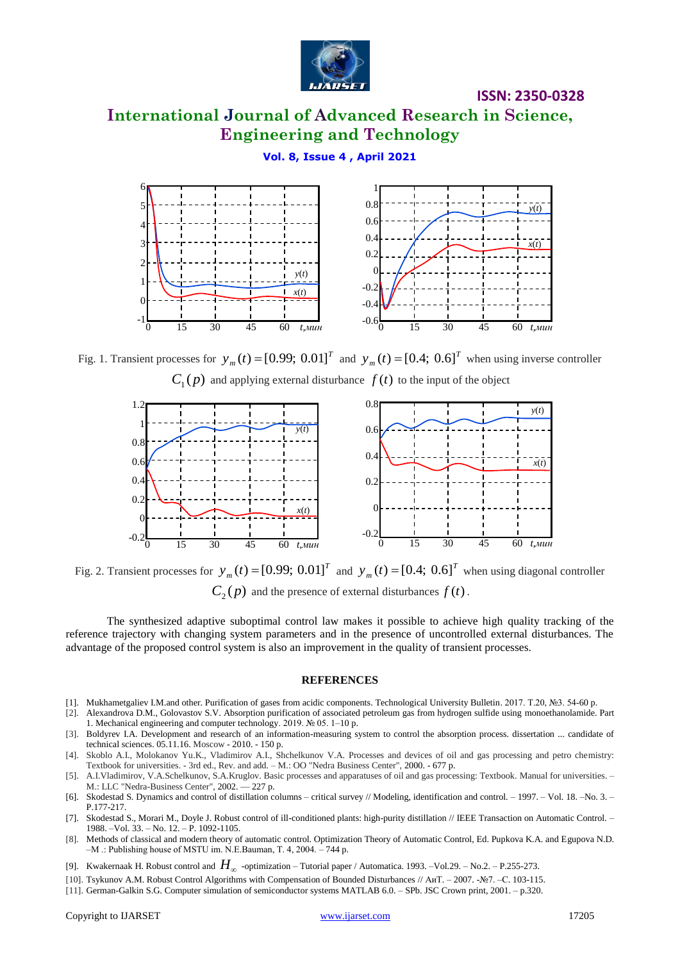

# **International Journal of Advanced Research in Science, Engineering and Technology**

### **Vol. 8, Issue 4 , April 2021**



Fig. 1. Transient processes for  $y_m(t) = [0.99; 0.01]^T$  $y_m(t) = [0.99; 0.01]^T$  and  $y_m(t) = [0.4; 0.6]^T$  $y_m(t) = [0.4; 0.6]^T$  when using inverse controller  $C_1(p)$  and applying external disturbance  $f(t)$  to the input of the object



Fig. 2. Transient processes for  $y_m(t) = [0.99; 0.01]^T$  $y_m(t) = [0.99; 0.01]^T$  and  $y_m(t) = [0.4; 0.6]^T$  $y_m(t) = [0.4; 0.6]^T$  when using diagonal controller  $C_2(p)$  and the presence of external disturbances  $f(t)$ .

The synthesized adaptive suboptimal control law makes it possible to achieve high quality tracking of the reference trajectory with changing system parameters and in the presence of uncontrolled external disturbances. The advantage of the proposed control system is also an improvement in the quality of transient processes.

#### **REFERENCES**

- [1]. Mukhametgaliev I.M.and other. Purification of gases from acidic components. Technological University Bulletin. 2017. Т.20, №3. 54-60 p.
- [2]. Alexandrova D.M., Golovastov S.V. Absorption purification of associated petroleum gas from hydrogen sulfide using monoethanolamide. Part 1. Mechanical engineering and computer technology. 2019. № 05. 1–10 p.
- [3]. Boldyrev I.A. Development and research of an information-measuring system to control the absorption process. dissertation ... candidate of technical sciences. 05.11.16. Moscow - 2010. - 150 p.
- [4]. Skoblo A.I., Molokanov Yu.K., Vladimirov A.I., Shchelkunov V.A. Processes and devices of oil and gas processing and petro chemistry: Textbook for universities. - 3rd ed., Rev. and add. – M.: OO "Nedra Business Center", 2000. - 677 p.
- [5]. A.I.Vladimirov, V.A.Schelkunov, S.A.Kruglov. Basic processes and apparatuses of oil and gas processing: Textbook. Manual for universities. M.: LLC "Nedra-Business Center", 2002. — 227 p.
- [6]. Skodestad S. Dynamics and control of distillation columns critical survey // Modeling, identification and control. 1997. Vol. 18. –No. 3. P.177-217.
- [7]. Skodestad S., Morari M., Doyle J. Robust control of ill-conditioned plants: high-purity distillation // IEEE Transaction on Automatic Control. 1988. –Vol. 33. – No. 12. – P. 1092-1105.
- [8]. Methods of classical and modern theory of automatic control. Optimization Theory of Automatic Control, Ed. Pupkova K.A. and Egupova N.D. –M .: Publishing house of MSTU im. N.E.Bauman, Т. 4, 2004. – 744 p.
- [9]. Kwakernaak H. Robust control and  $H_{\infty}$  -optimization Tutorial paper / Automatica. 1993. –Vol.29. No.2. P.255-273.
- [10]. Tsykunov A.M. Robust Control Algorithms with Compensation of Bounded Disturbances // АиТ. 2007. -№7. –С. 103-115.

<sup>[11].</sup> German-Galkin S.G. Computer simulation of semiconductor systems MATLAB 6.0. – SPb. JSC Crown print, 2001. – p.320.